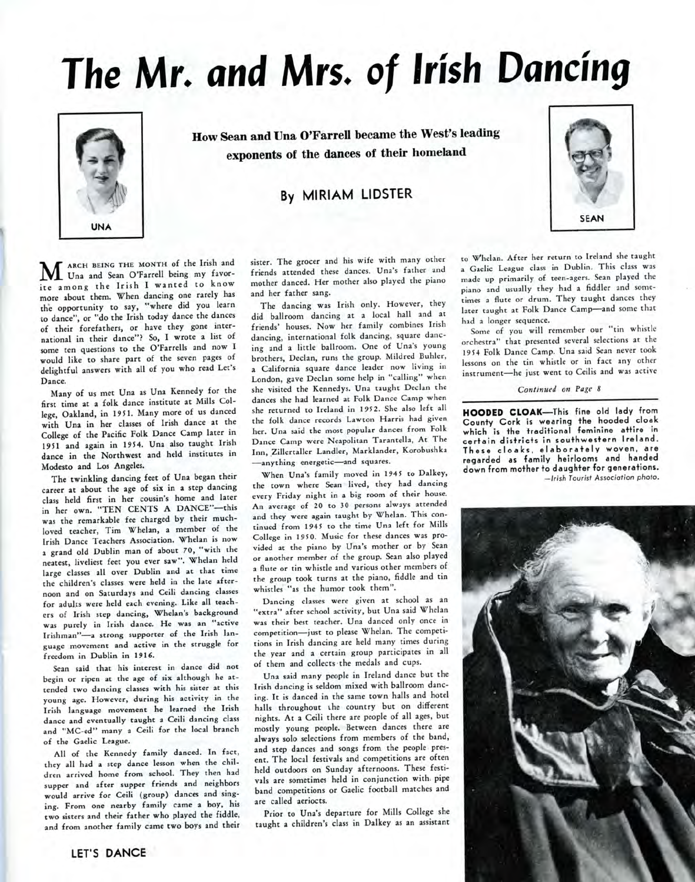# **The Mr. and Mrs. of Irish Dancing**



How Sean and Una O'Farrell became the West's leading exponents of the dances of their homeland

## By MIRIAM LIDSTER



ARCH BEING THE MONTH of the Irish and Una and Sean O'Farrell being my favor-ARCH BEING THE MONTH of the Irish and ite among the Irish I wanted to know more about them. When dancing one rarely has the opportunity to say, "where did you learn to dance", or "do the Irish today dance the dances of their forefathers, or have they gone international in their dance"? So, I wrote a list of some ten questions to the O'Farrells and now I would like to share part of the seven pages of delightful answers with all of you who read Let's

ance.<br>Many of us met Una as Una Kennedy for the first time at a folk dance institute at Mills College, Oakland, in 1951. Many more of us danced with Una in her classes of Irish dance at the College of the Pacific Folk Dance Camp later in 1951 and again in 1954. Una also taught Irish dance in the Northwest and held institutes in<br>Modesto and Los Angeles. esto and Los Angeles.

The twinkling dancing feet of Una began their career at about the age of six in a step dancing class held first in her cousin's home and later in her own. "TEN CENTS A DANCE"-this was the remarkable fee charged by their muchloved teacher, Tim Whelan, a member of the Irish Dance Teachers Association. Whelan is now a grand old Dublin man of about 70, "with the neatest, liveliest feet you ever saw". Whelan held large classes all over Dublin and at that time the children's classes were held in the late afternoon and on Saturdays and Ceili dancing classes for adults were held each evening. Like all teachers of Irish step dancing, Whelan's background was purely in Irish dance. He was an "active Irishman"-a strong supporter of the Irish language movement and active in the struggle for<br>freedom in Dublin in 1916.  $\frac{1}{2}$ s in dance did not define that  $\frac{1}{2}$  is  $\frac{1}{2}$  in the distribution of  $\frac{1}{2}$  is  $\frac{1}{2}$  in the distribution of  $\frac{1}{2}$  is  $\frac{1}{2}$  in the distribution of  $\frac{1}{2}$  is  $\frac{1}{2}$  in the distribution

Sean said that his interest in dance did not begin or ripen at the age of six although he attended two dancing classes with his sister at this young age. However, during his activity in the Irish language movement he learned the Irish dance and eventually taught a Ceili dancing class and "MC-ed" many a Ceili for the local branch<br>of the Gaelic League. the Gaenc League.

All of the Kennedy family danced. In fact, they all had a step dance lesson when the children arrived home from school. They then had supper and after supper friends and neighbors would arrive for Ceili (group) dances and singing. From one nearby family came a boy, his two sisters and their father who played the fiddle, and from another family came two boys and their sister. The grocer and his wife with many other friends attended these dances. Una's father and ends attended these danced. She when the piano anced. Her m

and her father sang.<br>The dancing was Irish only. However, they did ballroom dancing at a local hall and at friends' houses. Now her family combines Irish dancing, international folk dancing, square dancing and a little ballroom. One of Una's young brothers, Declan, runs the group. Mildred Buhler, a California square dance leader now living in Latifornia square uance reader now fiving in she visited the Kennedys. Una taught Declan the she visited the Kennedys. Una taught Declan the<br>dances she had learned at Folk Dance Camp when she returned to Ireland in 1952. She also left all the folk dance records Lawton Harris had given her. Una said the most popular dances from Folk Dance Camp were Neapolitan Tarantella, At The Inn, Zillertaller Landler, Marklander, Korobushka —anything energetic—and squares.

When Una's family moved in 1945 to Dalkey, the town where Sean lived, they had dancing every Friday night in a big room of their house. n average of 20 to 30 persons always attended<br>and the were again to we were always attended and they were again taught by Whelan. This continued from 1945 to the time Una left for Mills College in 1950. Music for these dances was provided at the piano by Una's mother or by Sean or another member of the group. Sean also played a flute or tin whistle and various other members of the group took turns at the piano, fiddle and tin whistles "as the humor took them".

Dancing classes were given at school as an 'extra" after school activity, but Una said Whelan was their best teacher. Una danced only once in competition—just to please Whelan. The competitions in Irish dancing are held many times during the year and a certain group participates in all of them and collects the medals and cups.

Una said many people in Ireland dance but the Irish dancing is seldom mixed with ballroom dancing. It is danced in the same town halls and hotel halls throughout ihe country but on different nights. At a Ceili there are people of all ages, but mostly young people. Between dances there are always solo selections from members of the band, and step dances and songs from the people present. The local festivals and competitions are often held outdoors on Sunday afternoons. These festivals are sometimes held in conjunction with pipe band competitions or Gaelic football matches and are called aeriocts.

Prior to Una's departure for Mills College she taught a children's class in Dalkey as an assistant to W^helan. After her return to Ireland she taught a Gaelic League class in Dublin. This class was made up primarily of teen-agers. Sean played the piano and usually they had a fiddler and sometimes a flute or drum. They taught dances they later taught at Folk Dance Camp—and some that had a longer sequence.

Some of you will remember our "tin whistle orchestra" that presented several selections ar the 1954 Folk Dance Camp. Una said Sean never took lessons on the tin whistle or in fact any other instrument—he just went to Ceilis and was active

*Continued on Page 8*

**HOODED CLOAK—This** fine old lady from County Cork is wearing the hooded cloak which is the traditional feminine attire in certain districts in southwestern Ireland. These cloaks, elaborately woven, are regarded as family heirlooms and handed down from mother to daughter for generations. —Irish Tourist Association photo.